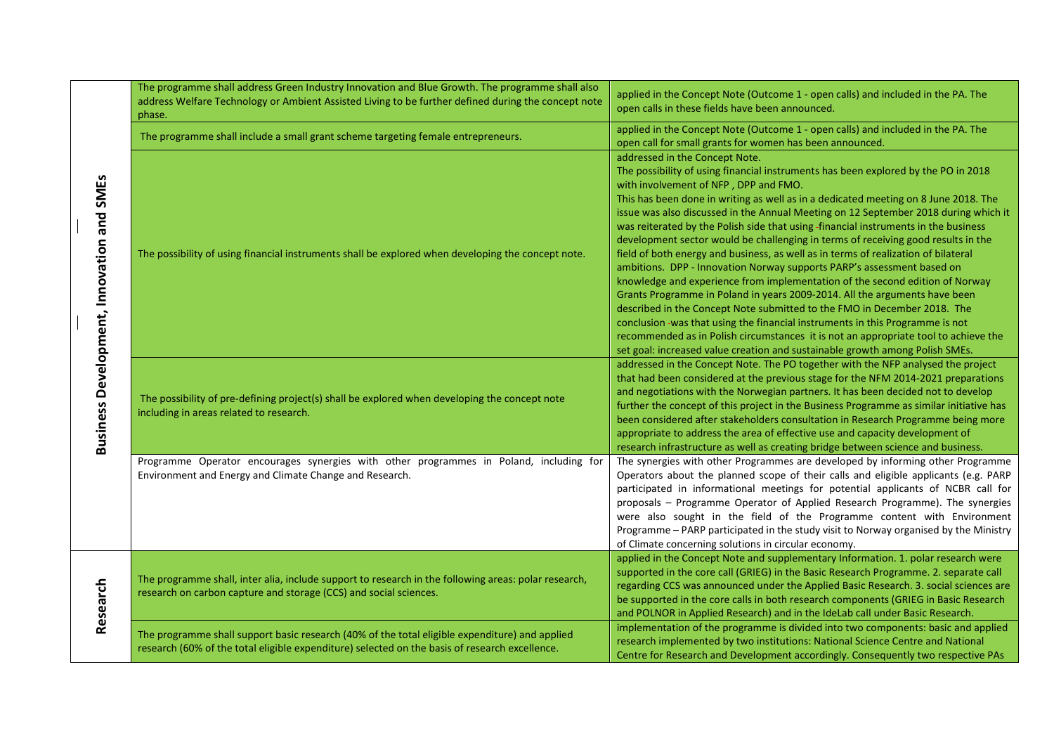| <b>Business Development, Innovation and SMEs</b> | The programme shall address Green Industry Innovation and Blue Growth. The programme shall also<br>address Welfare Technology or Ambient Assisted Living to be further defined during the concept note<br>phase. | applied in the Concept Note (Outcome 1 - open calls) and included in the PA. The<br>open calls in these fields have been announced.                                                                                                                                                                                                                                                                                                                                                                                                                                                                                                                                                                                                                                                                                                                                                                                                                                                                                                                                                                                                                                                       |
|--------------------------------------------------|------------------------------------------------------------------------------------------------------------------------------------------------------------------------------------------------------------------|-------------------------------------------------------------------------------------------------------------------------------------------------------------------------------------------------------------------------------------------------------------------------------------------------------------------------------------------------------------------------------------------------------------------------------------------------------------------------------------------------------------------------------------------------------------------------------------------------------------------------------------------------------------------------------------------------------------------------------------------------------------------------------------------------------------------------------------------------------------------------------------------------------------------------------------------------------------------------------------------------------------------------------------------------------------------------------------------------------------------------------------------------------------------------------------------|
|                                                  | The programme shall include a small grant scheme targeting female entrepreneurs.                                                                                                                                 | applied in the Concept Note (Outcome 1 - open calls) and included in the PA. The<br>open call for small grants for women has been announced.                                                                                                                                                                                                                                                                                                                                                                                                                                                                                                                                                                                                                                                                                                                                                                                                                                                                                                                                                                                                                                              |
|                                                  | The possibility of using financial instruments shall be explored when developing the concept note.                                                                                                               | addressed in the Concept Note.<br>The possibility of using financial instruments has been explored by the PO in 2018<br>with involvement of NFP, DPP and FMO.<br>This has been done in writing as well as in a dedicated meeting on 8 June 2018. The<br>issue was also discussed in the Annual Meeting on 12 September 2018 during which it<br>was reiterated by the Polish side that using -financial instruments in the business<br>development sector would be challenging in terms of receiving good results in the<br>field of both energy and business, as well as in terms of realization of bilateral<br>ambitions. DPP - Innovation Norway supports PARP's assessment based on<br>knowledge and experience from implementation of the second edition of Norway<br>Grants Programme in Poland in years 2009-2014. All the arguments have been<br>described in the Concept Note submitted to the FMO in December 2018. The<br>conclusion -was that using the financial instruments in this Programme is not<br>recommended as in Polish circumstances it is not an appropriate tool to achieve the<br>set goal: increased value creation and sustainable growth among Polish SMEs. |
|                                                  | The possibility of pre-defining project(s) shall be explored when developing the concept note<br>including in areas related to research.                                                                         | addressed in the Concept Note. The PO together with the NFP analysed the project<br>that had been considered at the previous stage for the NFM 2014-2021 preparations<br>and negotiations with the Norwegian partners. It has been decided not to develop<br>further the concept of this project in the Business Programme as similar initiative has<br>been considered after stakeholders consultation in Research Programme being more<br>appropriate to address the area of effective use and capacity development of<br>research infrastructure as well as creating bridge between science and business.                                                                                                                                                                                                                                                                                                                                                                                                                                                                                                                                                                              |
|                                                  | Programme Operator encourages synergies with other programmes in Poland, including for<br>Environment and Energy and Climate Change and Research.                                                                | The synergies with other Programmes are developed by informing other Programme<br>Operators about the planned scope of their calls and eligible applicants (e.g. PARP<br>participated in informational meetings for potential applicants of NCBR call for<br>proposals - Programme Operator of Applied Research Programme). The synergies<br>were also sought in the field of the Programme content with Environment<br>Programme - PARP participated in the study visit to Norway organised by the Ministry<br>of Climate concerning solutions in circular economy.                                                                                                                                                                                                                                                                                                                                                                                                                                                                                                                                                                                                                      |
| Research                                         | The programme shall, inter alia, include support to research in the following areas: polar research,<br>research on carbon capture and storage (CCS) and social sciences.                                        | applied in the Concept Note and supplementary Information. 1. polar research were<br>supported in the core call (GRIEG) in the Basic Research Programme. 2. separate call<br>regarding CCS was announced under the Applied Basic Research. 3. social sciences are<br>be supported in the core calls in both research components (GRIEG in Basic Research<br>and POLNOR in Applied Research) and in the IdeLab call under Basic Research.                                                                                                                                                                                                                                                                                                                                                                                                                                                                                                                                                                                                                                                                                                                                                  |
|                                                  | The programme shall support basic research (40% of the total eligible expenditure) and applied<br>research (60% of the total eligible expenditure) selected on the basis of research excellence.                 | implementation of the programme is divided into two components: basic and applied<br>research implemented by two institutions: National Science Centre and National<br>Centre for Research and Development accordingly. Consequently two respective PAs                                                                                                                                                                                                                                                                                                                                                                                                                                                                                                                                                                                                                                                                                                                                                                                                                                                                                                                                   |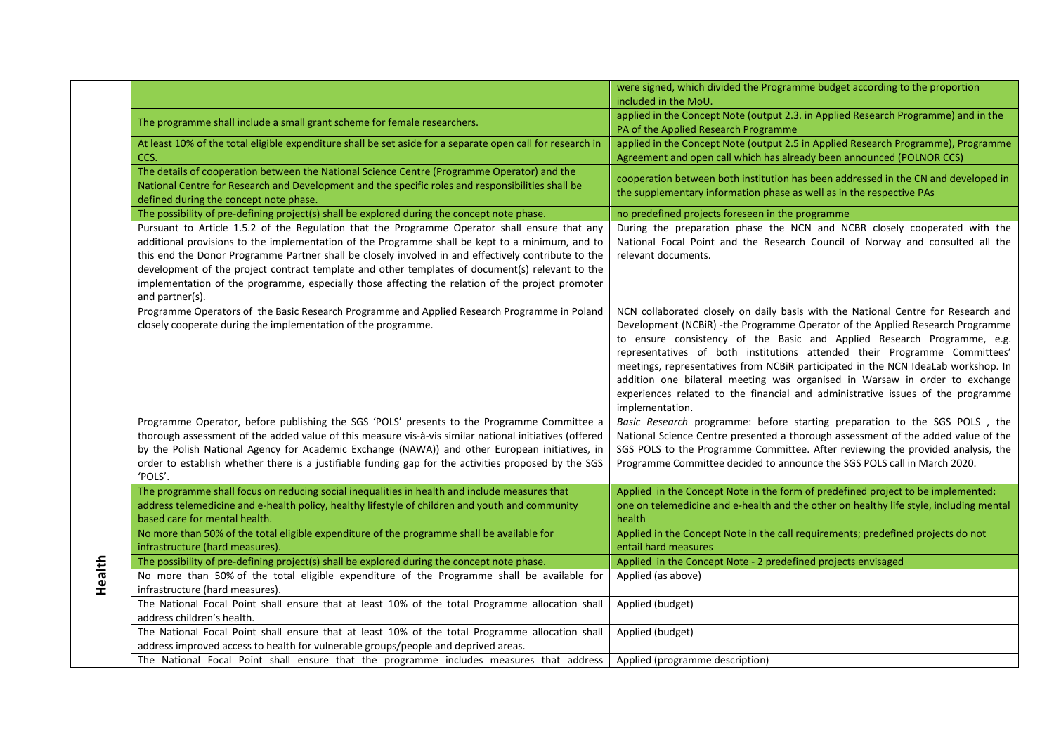|        |                                                                                                                                                                                                                                                                                                                                                                                                                                                                                                                                   | were signed, which divided the Programme budget according to the proportion<br>included in the MoU.                                                                                                                                                                                                                                                                                                                                                                                                                                                                                                  |
|--------|-----------------------------------------------------------------------------------------------------------------------------------------------------------------------------------------------------------------------------------------------------------------------------------------------------------------------------------------------------------------------------------------------------------------------------------------------------------------------------------------------------------------------------------|------------------------------------------------------------------------------------------------------------------------------------------------------------------------------------------------------------------------------------------------------------------------------------------------------------------------------------------------------------------------------------------------------------------------------------------------------------------------------------------------------------------------------------------------------------------------------------------------------|
|        | The programme shall include a small grant scheme for female researchers.                                                                                                                                                                                                                                                                                                                                                                                                                                                          | applied in the Concept Note (output 2.3. in Applied Research Programme) and in the<br>PA of the Applied Research Programme                                                                                                                                                                                                                                                                                                                                                                                                                                                                           |
|        | At least 10% of the total eligible expenditure shall be set aside for a separate open call for research in<br>CCS.                                                                                                                                                                                                                                                                                                                                                                                                                | applied in the Concept Note (output 2.5 in Applied Research Programme), Programme<br>Agreement and open call which has already been announced (POLNOR CCS)                                                                                                                                                                                                                                                                                                                                                                                                                                           |
|        | The details of cooperation between the National Science Centre (Programme Operator) and the<br>National Centre for Research and Development and the specific roles and responsibilities shall be<br>defined during the concept note phase.                                                                                                                                                                                                                                                                                        | cooperation between both institution has been addressed in the CN and developed in<br>the supplementary information phase as well as in the respective PAs                                                                                                                                                                                                                                                                                                                                                                                                                                           |
|        | The possibility of pre-defining project(s) shall be explored during the concept note phase.                                                                                                                                                                                                                                                                                                                                                                                                                                       | no predefined projects foreseen in the programme                                                                                                                                                                                                                                                                                                                                                                                                                                                                                                                                                     |
|        | Pursuant to Article 1.5.2 of the Regulation that the Programme Operator shall ensure that any<br>additional provisions to the implementation of the Programme shall be kept to a minimum, and to<br>this end the Donor Programme Partner shall be closely involved in and effectively contribute to the<br>development of the project contract template and other templates of document(s) relevant to the<br>implementation of the programme, especially those affecting the relation of the project promoter<br>and partner(s). | During the preparation phase the NCN and NCBR closely cooperated with the<br>National Focal Point and the Research Council of Norway and consulted all the<br>relevant documents.                                                                                                                                                                                                                                                                                                                                                                                                                    |
|        | Programme Operators of the Basic Research Programme and Applied Research Programme in Poland<br>closely cooperate during the implementation of the programme.                                                                                                                                                                                                                                                                                                                                                                     | NCN collaborated closely on daily basis with the National Centre for Research and<br>Development (NCBiR) -the Programme Operator of the Applied Research Programme<br>to ensure consistency of the Basic and Applied Research Programme, e.g.<br>representatives of both institutions attended their Programme Committees'<br>meetings, representatives from NCBiR participated in the NCN IdeaLab workshop. In<br>addition one bilateral meeting was organised in Warsaw in order to exchange<br>experiences related to the financial and administrative issues of the programme<br>implementation. |
|        | Programme Operator, before publishing the SGS 'POLS' presents to the Programme Committee a<br>thorough assessment of the added value of this measure vis-à-vis similar national initiatives (offered<br>by the Polish National Agency for Academic Exchange (NAWA)) and other European initiatives, in<br>order to establish whether there is a justifiable funding gap for the activities proposed by the SGS<br>'POLS'.                                                                                                         | Basic Research programme: before starting preparation to the SGS POLS, the<br>National Science Centre presented a thorough assessment of the added value of the<br>SGS POLS to the Programme Committee. After reviewing the provided analysis, the<br>Programme Committee decided to announce the SGS POLS call in March 2020.                                                                                                                                                                                                                                                                       |
|        | The programme shall focus on reducing social inequalities in health and include measures that<br>address telemedicine and e-health policy, healthy lifestyle of children and youth and community<br>based care for mental health.                                                                                                                                                                                                                                                                                                 | Applied in the Concept Note in the form of predefined project to be implemented:<br>one on telemedicine and e-health and the other on healthy life style, including mental<br>health                                                                                                                                                                                                                                                                                                                                                                                                                 |
|        | No more than 50% of the total eligible expenditure of the programme shall be available for<br>infrastructure (hard measures).                                                                                                                                                                                                                                                                                                                                                                                                     | Applied in the Concept Note in the call requirements; predefined projects do not<br>entail hard measures                                                                                                                                                                                                                                                                                                                                                                                                                                                                                             |
| Health | The possibility of pre-defining project(s) shall be explored during the concept note phase.                                                                                                                                                                                                                                                                                                                                                                                                                                       | Applied in the Concept Note - 2 predefined projects envisaged                                                                                                                                                                                                                                                                                                                                                                                                                                                                                                                                        |
|        | No more than 50% of the total eligible expenditure of the Programme shall be available for<br>infrastructure (hard measures).                                                                                                                                                                                                                                                                                                                                                                                                     | Applied (as above)                                                                                                                                                                                                                                                                                                                                                                                                                                                                                                                                                                                   |
|        | The National Focal Point shall ensure that at least 10% of the total Programme allocation shall<br>address children's health.                                                                                                                                                                                                                                                                                                                                                                                                     | Applied (budget)                                                                                                                                                                                                                                                                                                                                                                                                                                                                                                                                                                                     |
|        | The National Focal Point shall ensure that at least 10% of the total Programme allocation shall<br>address improved access to health for vulnerable groups/people and deprived areas.                                                                                                                                                                                                                                                                                                                                             | Applied (budget)                                                                                                                                                                                                                                                                                                                                                                                                                                                                                                                                                                                     |
|        | The National Focal Point shall ensure that the programme includes measures that address                                                                                                                                                                                                                                                                                                                                                                                                                                           | Applied (programme description)                                                                                                                                                                                                                                                                                                                                                                                                                                                                                                                                                                      |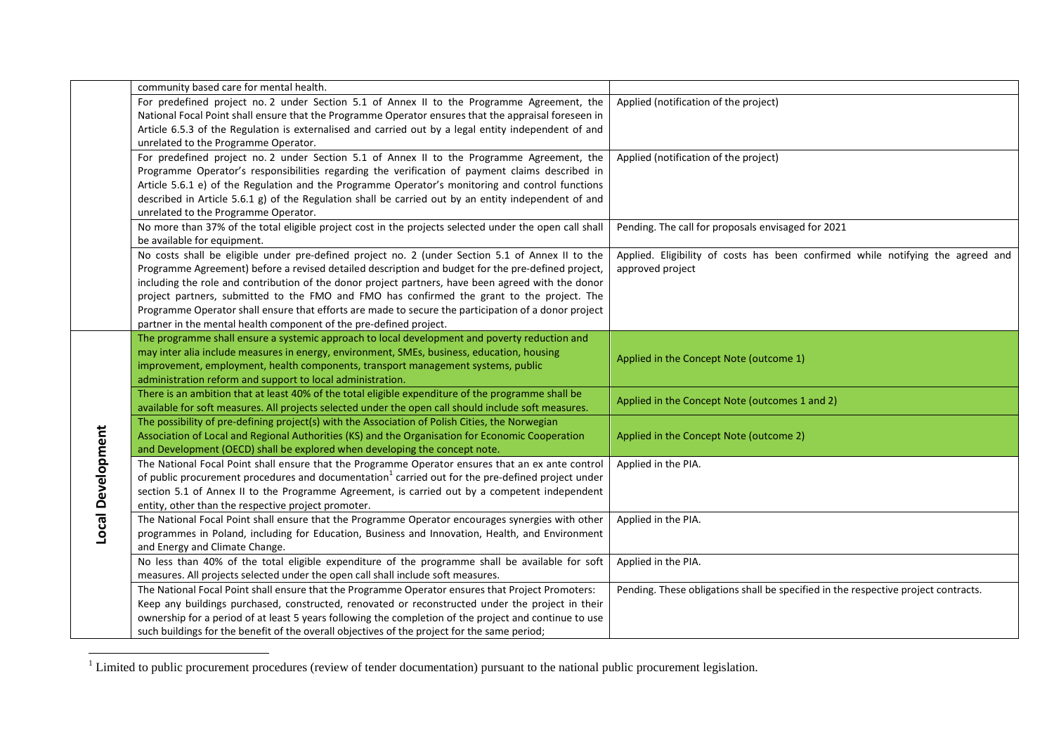|                   | community based care for mental health.                                                                       |                                                                                    |
|-------------------|---------------------------------------------------------------------------------------------------------------|------------------------------------------------------------------------------------|
|                   | For predefined project no. 2 under Section 5.1 of Annex II to the Programme Agreement, the                    | Applied (notification of the project)                                              |
|                   | National Focal Point shall ensure that the Programme Operator ensures that the appraisal foreseen in          |                                                                                    |
|                   | Article 6.5.3 of the Regulation is externalised and carried out by a legal entity independent of and          |                                                                                    |
|                   | unrelated to the Programme Operator.                                                                          |                                                                                    |
|                   | For predefined project no. 2 under Section 5.1 of Annex II to the Programme Agreement, the                    | Applied (notification of the project)                                              |
|                   | Programme Operator's responsibilities regarding the verification of payment claims described in               |                                                                                    |
|                   | Article 5.6.1 e) of the Regulation and the Programme Operator's monitoring and control functions              |                                                                                    |
|                   | described in Article 5.6.1 g) of the Regulation shall be carried out by an entity independent of and          |                                                                                    |
|                   | unrelated to the Programme Operator.                                                                          |                                                                                    |
|                   | No more than 37% of the total eligible project cost in the projects selected under the open call shall        | Pending. The call for proposals envisaged for 2021                                 |
|                   | be available for equipment.                                                                                   |                                                                                    |
|                   | No costs shall be eligible under pre-defined project no. 2 (under Section 5.1 of Annex II to the              | Applied. Eligibility of costs has been confirmed while notifying the agreed and    |
|                   | Programme Agreement) before a revised detailed description and budget for the pre-defined project,            | approved project                                                                   |
|                   | including the role and contribution of the donor project partners, have been agreed with the donor            |                                                                                    |
|                   | project partners, submitted to the FMO and FMO has confirmed the grant to the project. The                    |                                                                                    |
|                   | Programme Operator shall ensure that efforts are made to secure the participation of a donor project          |                                                                                    |
|                   | partner in the mental health component of the pre-defined project.                                            |                                                                                    |
|                   | The programme shall ensure a systemic approach to local development and poverty reduction and                 |                                                                                    |
|                   | may inter alia include measures in energy, environment, SMEs, business, education, housing                    |                                                                                    |
|                   | improvement, employment, health components, transport management systems, public                              | Applied in the Concept Note (outcome 1)                                            |
|                   | administration reform and support to local administration.                                                    |                                                                                    |
|                   | There is an ambition that at least 40% of the total eligible expenditure of the programme shall be            |                                                                                    |
|                   | available for soft measures. All projects selected under the open call should include soft measures.          | Applied in the Concept Note (outcomes 1 and 2)                                     |
|                   | The possibility of pre-defining project(s) with the Association of Polish Cities, the Norwegian               |                                                                                    |
|                   | Association of Local and Regional Authorities (KS) and the Organisation for Economic Cooperation              | Applied in the Concept Note (outcome 2)                                            |
| Local Development | and Development (OECD) shall be explored when developing the concept note.                                    |                                                                                    |
|                   | The National Focal Point shall ensure that the Programme Operator ensures that an ex ante control             | Applied in the PIA.                                                                |
|                   | of public procurement procedures and documentation <sup>1</sup> carried out for the pre-defined project under |                                                                                    |
|                   | section 5.1 of Annex II to the Programme Agreement, is carried out by a competent independent                 |                                                                                    |
|                   | entity, other than the respective project promoter.                                                           |                                                                                    |
|                   | The National Focal Point shall ensure that the Programme Operator encourages synergies with other             | Applied in the PIA.                                                                |
|                   | programmes in Poland, including for Education, Business and Innovation, Health, and Environment               |                                                                                    |
|                   | and Energy and Climate Change.                                                                                |                                                                                    |
|                   | No less than 40% of the total eligible expenditure of the programme shall be available for soft               | Applied in the PIA.                                                                |
|                   | measures. All projects selected under the open call shall include soft measures.                              |                                                                                    |
|                   | The National Focal Point shall ensure that the Programme Operator ensures that Project Promoters:             | Pending. These obligations shall be specified in the respective project contracts. |
|                   | Keep any buildings purchased, constructed, renovated or reconstructed under the project in their              |                                                                                    |
|                   | ownership for a period of at least 5 years following the completion of the project and continue to use        |                                                                                    |
|                   | such buildings for the benefit of the overall objectives of the project for the same period;                  |                                                                                    |

 $\frac{1}{1}$  Limited to public procurement procedures (review of tender documentation) pursuant to the national public procurement legislation.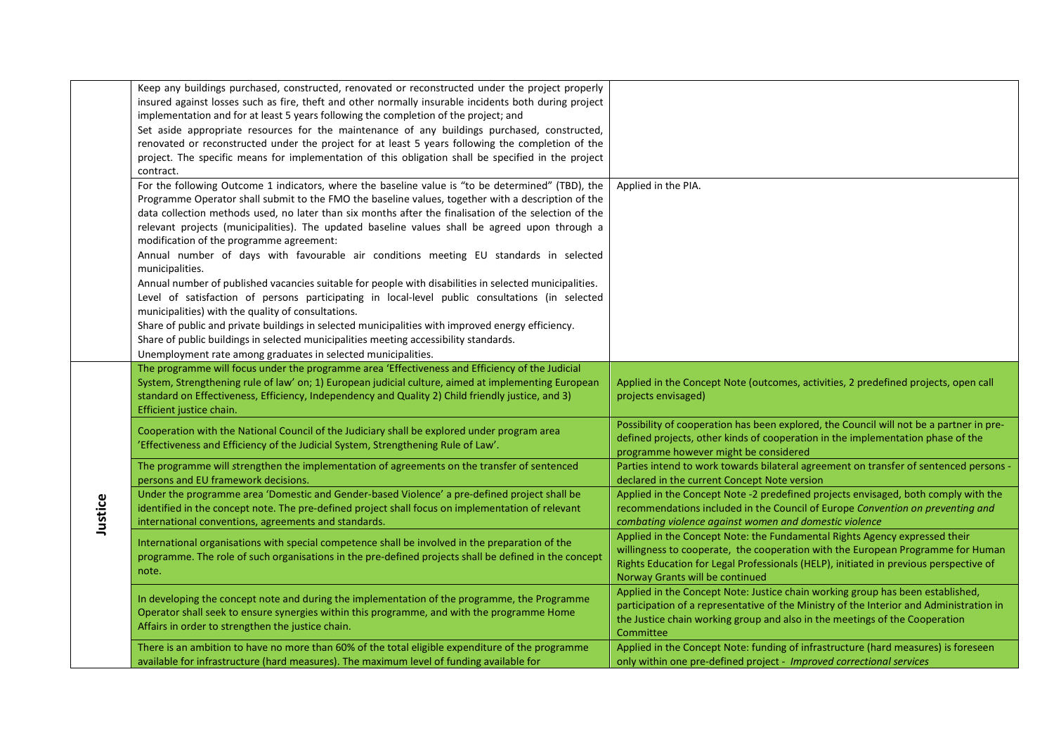|         | Keep any buildings purchased, constructed, renovated or reconstructed under the project properly       |                                                                                         |
|---------|--------------------------------------------------------------------------------------------------------|-----------------------------------------------------------------------------------------|
|         | insured against losses such as fire, theft and other normally insurable incidents both during project  |                                                                                         |
|         | implementation and for at least 5 years following the completion of the project; and                   |                                                                                         |
|         | Set aside appropriate resources for the maintenance of any buildings purchased, constructed,           |                                                                                         |
|         | renovated or reconstructed under the project for at least 5 years following the completion of the      |                                                                                         |
|         | project. The specific means for implementation of this obligation shall be specified in the project    |                                                                                         |
|         | contract.                                                                                              |                                                                                         |
|         | For the following Outcome 1 indicators, where the baseline value is "to be determined" (TBD), the      | Applied in the PIA.                                                                     |
|         | Programme Operator shall submit to the FMO the baseline values, together with a description of the     |                                                                                         |
|         | data collection methods used, no later than six months after the finalisation of the selection of the  |                                                                                         |
|         |                                                                                                        |                                                                                         |
|         | relevant projects (municipalities). The updated baseline values shall be agreed upon through a         |                                                                                         |
|         | modification of the programme agreement:                                                               |                                                                                         |
|         | Annual number of days with favourable air conditions meeting EU standards in selected                  |                                                                                         |
|         | municipalities.                                                                                        |                                                                                         |
|         | Annual number of published vacancies suitable for people with disabilities in selected municipalities. |                                                                                         |
|         | Level of satisfaction of persons participating in local-level public consultations (in selected        |                                                                                         |
|         | municipalities) with the quality of consultations.                                                     |                                                                                         |
|         | Share of public and private buildings in selected municipalities with improved energy efficiency.      |                                                                                         |
|         | Share of public buildings in selected municipalities meeting accessibility standards.                  |                                                                                         |
|         | Unemployment rate among graduates in selected municipalities.                                          |                                                                                         |
|         | The programme will focus under the programme area 'Effectiveness and Efficiency of the Judicial        |                                                                                         |
|         | System, Strengthening rule of law' on; 1) European judicial culture, aimed at implementing European    | Applied in the Concept Note (outcomes, activities, 2 predefined projects, open call     |
|         | standard on Effectiveness, Efficiency, Independency and Quality 2) Child friendly justice, and 3)      | projects envisaged)                                                                     |
|         | Efficient justice chain.                                                                               |                                                                                         |
|         |                                                                                                        | Possibility of cooperation has been explored, the Council will not be a partner in pre- |
|         | Cooperation with the National Council of the Judiciary shall be explored under program area            | defined projects, other kinds of cooperation in the implementation phase of the         |
|         | 'Effectiveness and Efficiency of the Judicial System, Strengthening Rule of Law'.                      | programme however might be considered                                                   |
|         | The programme will strengthen the implementation of agreements on the transfer of sentenced            | Parties intend to work towards bilateral agreement on transfer of sentenced persons -   |
|         | persons and EU framework decisions.                                                                    | declared in the current Concept Note version                                            |
|         | Under the programme area 'Domestic and Gender-based Violence' a pre-defined project shall be           | Applied in the Concept Note -2 predefined projects envisaged, both comply with the      |
|         | identified in the concept note. The pre-defined project shall focus on implementation of relevant      | recommendations included in the Council of Europe Convention on preventing and          |
| Justice | international conventions, agreements and standards.                                                   | combating violence against women and domestic violence                                  |
|         |                                                                                                        | Applied in the Concept Note: the Fundamental Rights Agency expressed their              |
|         | International organisations with special competence shall be involved in the preparation of the        | willingness to cooperate, the cooperation with the European Programme for Human         |
|         | programme. The role of such organisations in the pre-defined projects shall be defined in the concept  | Rights Education for Legal Professionals (HELP), initiated in previous perspective of   |
|         | note.                                                                                                  | Norway Grants will be continued                                                         |
|         |                                                                                                        | Applied in the Concept Note: Justice chain working group has been established,          |
|         | In developing the concept note and during the implementation of the programme, the Programme           | participation of a representative of the Ministry of the Interior and Administration in |
|         | Operator shall seek to ensure synergies within this programme, and with the programme Home             | the Justice chain working group and also in the meetings of the Cooperation             |
|         | Affairs in order to strengthen the justice chain.                                                      | Committee                                                                               |
|         | There is an ambition to have no more than 60% of the total eligible expenditure of the programme       | Applied in the Concept Note: funding of infrastructure (hard measures) is foreseen      |
|         | available for infrastructure (hard measures). The maximum level of funding available for               | only within one pre-defined project - Improved correctional services                    |
|         |                                                                                                        |                                                                                         |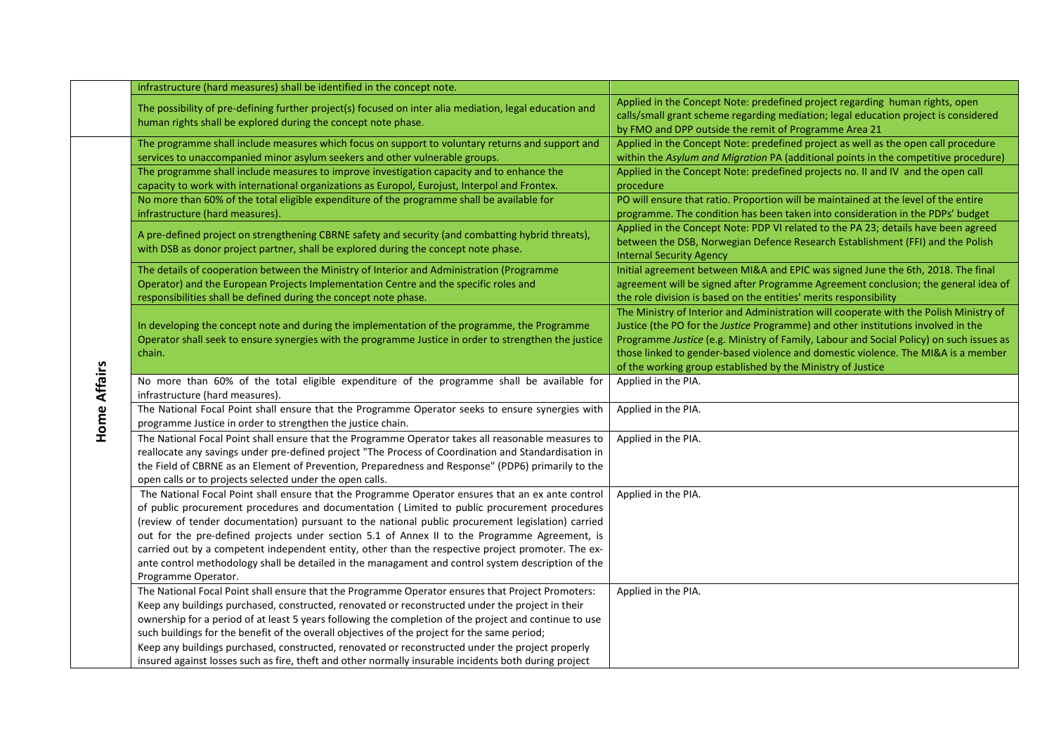|              | infrastructure (hard measures) shall be identified in the concept note.                                                                                                                                                                                                                                                                                                                                                                                                                                                                                                                                                                    |                                                                                                                                                                                                                                                                                                                                                                                                                            |
|--------------|--------------------------------------------------------------------------------------------------------------------------------------------------------------------------------------------------------------------------------------------------------------------------------------------------------------------------------------------------------------------------------------------------------------------------------------------------------------------------------------------------------------------------------------------------------------------------------------------------------------------------------------------|----------------------------------------------------------------------------------------------------------------------------------------------------------------------------------------------------------------------------------------------------------------------------------------------------------------------------------------------------------------------------------------------------------------------------|
|              | The possibility of pre-defining further project(s) focused on inter alia mediation, legal education and<br>human rights shall be explored during the concept note phase.                                                                                                                                                                                                                                                                                                                                                                                                                                                                   | Applied in the Concept Note: predefined project regarding human rights, open<br>calls/small grant scheme regarding mediation; legal education project is considered<br>by FMO and DPP outside the remit of Programme Area 21                                                                                                                                                                                               |
|              | The programme shall include measures which focus on support to voluntary returns and support and<br>services to unaccompanied minor asylum seekers and other vulnerable groups.                                                                                                                                                                                                                                                                                                                                                                                                                                                            | Applied in the Concept Note: predefined project as well as the open call procedure<br>within the Asylum and Migration PA (additional points in the competitive procedure)                                                                                                                                                                                                                                                  |
|              | The programme shall include measures to improve investigation capacity and to enhance the<br>capacity to work with international organizations as Europol, Eurojust, Interpol and Frontex.                                                                                                                                                                                                                                                                                                                                                                                                                                                 | Applied in the Concept Note: predefined projects no. II and IV and the open call<br>procedure                                                                                                                                                                                                                                                                                                                              |
|              | No more than 60% of the total eligible expenditure of the programme shall be available for<br>infrastructure (hard measures).                                                                                                                                                                                                                                                                                                                                                                                                                                                                                                              | PO will ensure that ratio. Proportion will be maintained at the level of the entire<br>programme. The condition has been taken into consideration in the PDPs' budget                                                                                                                                                                                                                                                      |
|              | A pre-defined project on strengthening CBRNE safety and security (and combatting hybrid threats),<br>with DSB as donor project partner, shall be explored during the concept note phase.                                                                                                                                                                                                                                                                                                                                                                                                                                                   | Applied in the Concept Note: PDP VI related to the PA 23; details have been agreed<br>between the DSB, Norwegian Defence Research Establishment (FFI) and the Polish<br><b>Internal Security Agency</b>                                                                                                                                                                                                                    |
|              | The details of cooperation between the Ministry of Interior and Administration (Programme<br>Operator) and the European Projects Implementation Centre and the specific roles and<br>responsibilities shall be defined during the concept note phase.                                                                                                                                                                                                                                                                                                                                                                                      | Initial agreement between MI&A and EPIC was signed June the 6th, 2018. The final<br>agreement will be signed after Programme Agreement conclusion; the general idea of<br>the role division is based on the entities' merits responsibility                                                                                                                                                                                |
| Home Affairs | In developing the concept note and during the implementation of the programme, the Programme<br>Operator shall seek to ensure synergies with the programme Justice in order to strengthen the justice<br>chain.                                                                                                                                                                                                                                                                                                                                                                                                                            | The Ministry of Interior and Administration will cooperate with the Polish Ministry of<br>Justice (the PO for the Justice Programme) and other institutions involved in the<br>Programme Justice (e.g. Ministry of Family, Labour and Social Policy) on such issues as<br>those linked to gender-based violence and domestic violence. The MI&A is a member<br>of the working group established by the Ministry of Justice |
|              | No more than 60% of the total eligible expenditure of the programme shall be available for<br>infrastructure (hard measures).                                                                                                                                                                                                                                                                                                                                                                                                                                                                                                              | Applied in the PIA.                                                                                                                                                                                                                                                                                                                                                                                                        |
|              | The National Focal Point shall ensure that the Programme Operator seeks to ensure synergies with<br>programme Justice in order to strengthen the justice chain.                                                                                                                                                                                                                                                                                                                                                                                                                                                                            | Applied in the PIA.                                                                                                                                                                                                                                                                                                                                                                                                        |
|              | The National Focal Point shall ensure that the Programme Operator takes all reasonable measures to<br>reallocate any savings under pre-defined project "The Process of Coordination and Standardisation in<br>the Field of CBRNE as an Element of Prevention, Preparedness and Response" (PDP6) primarily to the<br>open calls or to projects selected under the open calls.                                                                                                                                                                                                                                                               | Applied in the PIA.                                                                                                                                                                                                                                                                                                                                                                                                        |
|              | The National Focal Point shall ensure that the Programme Operator ensures that an ex ante control<br>of public procurement procedures and documentation (Limited to public procurement procedures<br>(review of tender documentation) pursuant to the national public procurement legislation) carried<br>out for the pre-defined projects under section 5.1 of Annex II to the Programme Agreement, is<br>carried out by a competent independent entity, other than the respective project promoter. The ex-<br>ante control methodology shall be detailed in the managament and control system description of the<br>Programme Operator. | Applied in the PIA.                                                                                                                                                                                                                                                                                                                                                                                                        |
|              | The National Focal Point shall ensure that the Programme Operator ensures that Project Promoters:<br>Keep any buildings purchased, constructed, renovated or reconstructed under the project in their<br>ownership for a period of at least 5 years following the completion of the project and continue to use<br>such buildings for the benefit of the overall objectives of the project for the same period;<br>Keep any buildings purchased, constructed, renovated or reconstructed under the project properly<br>insured against losses such as fire, theft and other normally insurable incidents both during project               | Applied in the PIA.                                                                                                                                                                                                                                                                                                                                                                                                        |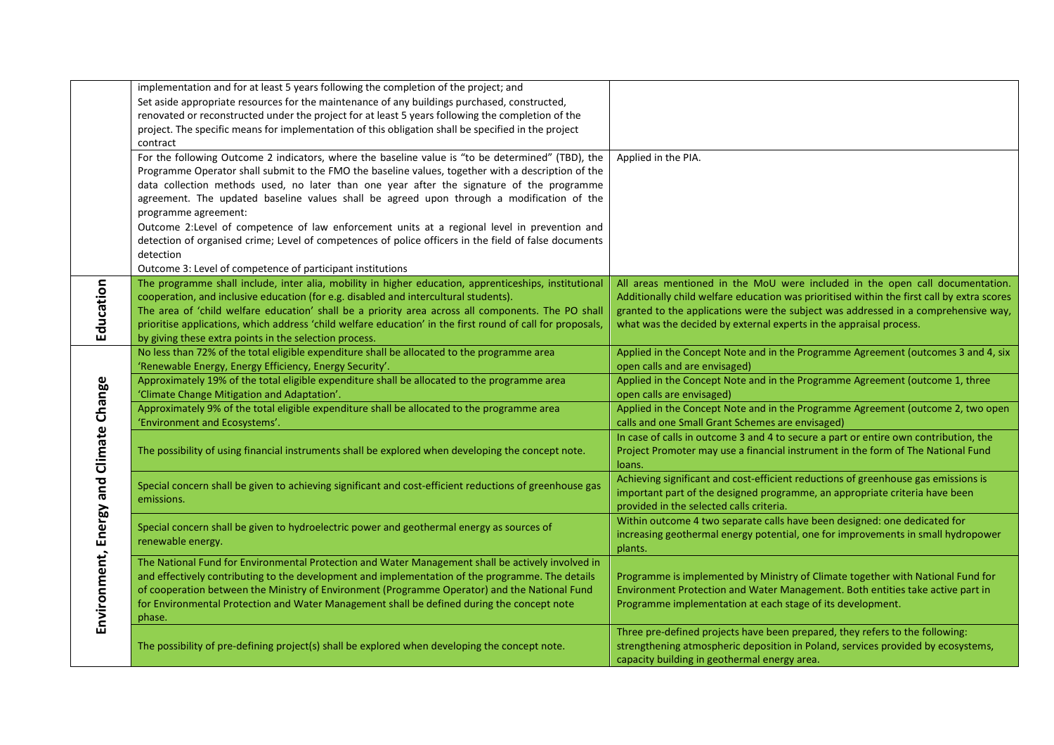|                                        | implementation and for at least 5 years following the completion of the project; and                       |                                                                                            |
|----------------------------------------|------------------------------------------------------------------------------------------------------------|--------------------------------------------------------------------------------------------|
|                                        | Set aside appropriate resources for the maintenance of any buildings purchased, constructed,               |                                                                                            |
|                                        | renovated or reconstructed under the project for at least 5 years following the completion of the          |                                                                                            |
|                                        | project. The specific means for implementation of this obligation shall be specified in the project        |                                                                                            |
|                                        | contract                                                                                                   |                                                                                            |
|                                        | For the following Outcome 2 indicators, where the baseline value is "to be determined" (TBD), the          | Applied in the PIA.                                                                        |
|                                        | Programme Operator shall submit to the FMO the baseline values, together with a description of the         |                                                                                            |
|                                        | data collection methods used, no later than one year after the signature of the programme                  |                                                                                            |
|                                        | agreement. The updated baseline values shall be agreed upon through a modification of the                  |                                                                                            |
|                                        | programme agreement:                                                                                       |                                                                                            |
|                                        | Outcome 2:Level of competence of law enforcement units at a regional level in prevention and               |                                                                                            |
|                                        |                                                                                                            |                                                                                            |
|                                        | detection of organised crime; Level of competences of police officers in the field of false documents      |                                                                                            |
|                                        | detection                                                                                                  |                                                                                            |
|                                        | Outcome 3: Level of competence of participant institutions                                                 |                                                                                            |
| Education                              | The programme shall include, inter alia, mobility in higher education, apprenticeships, institutional      | All areas mentioned in the MoU were included in the open call documentation.               |
|                                        | cooperation, and inclusive education (for e.g. disabled and intercultural students).                       | Additionally child welfare education was prioritised within the first call by extra scores |
|                                        | The area of 'child welfare education' shall be a priority area across all components. The PO shall         | granted to the applications were the subject was addressed in a comprehensive way,         |
|                                        | prioritise applications, which address 'child welfare education' in the first round of call for proposals, | what was the decided by external experts in the appraisal process.                         |
|                                        | by giving these extra points in the selection process.                                                     |                                                                                            |
|                                        | No less than 72% of the total eligible expenditure shall be allocated to the programme area                | Applied in the Concept Note and in the Programme Agreement (outcomes 3 and 4, six          |
|                                        | 'Renewable Energy, Energy Efficiency, Energy Security'.                                                    | open calls and are envisaged)                                                              |
|                                        | Approximately 19% of the total eligible expenditure shall be allocated to the programme area               | Applied in the Concept Note and in the Programme Agreement (outcome 1, three               |
|                                        | 'Climate Change Mitigation and Adaptation'.                                                                | open calls are envisaged)                                                                  |
|                                        | Approximately 9% of the total eligible expenditure shall be allocated to the programme area                | Applied in the Concept Note and in the Programme Agreement (outcome 2, two open            |
|                                        | 'Environment and Ecosystems'.                                                                              | calls and one Small Grant Schemes are envisaged)                                           |
|                                        |                                                                                                            | In case of calls in outcome 3 and 4 to secure a part or entire own contribution, the       |
|                                        | The possibility of using financial instruments shall be explored when developing the concept note.         | Project Promoter may use a financial instrument in the form of The National Fund           |
|                                        |                                                                                                            | loans.                                                                                     |
|                                        |                                                                                                            | Achieving significant and cost-efficient reductions of greenhouse gas emissions is         |
|                                        | Special concern shall be given to achieving significant and cost-efficient reductions of greenhouse gas    | important part of the designed programme, an appropriate criteria have been                |
|                                        | emissions.                                                                                                 | provided in the selected calls criteria.                                                   |
|                                        |                                                                                                            | Within outcome 4 two separate calls have been designed: one dedicated for                  |
| Environment, Energy and Climate Change | Special concern shall be given to hydroelectric power and geothermal energy as sources of                  | increasing geothermal energy potential, one for improvements in small hydropower           |
|                                        | renewable energy.                                                                                          | plants.                                                                                    |
|                                        | The National Fund for Environmental Protection and Water Management shall be actively involved in          |                                                                                            |
|                                        | and effectively contributing to the development and implementation of the programme. The details           | Programme is implemented by Ministry of Climate together with National Fund for            |
|                                        | of cooperation between the Ministry of Environment (Programme Operator) and the National Fund              | Environment Protection and Water Management. Both entities take active part in             |
|                                        | for Environmental Protection and Water Management shall be defined during the concept note                 | Programme implementation at each stage of its development.                                 |
|                                        | phase.                                                                                                     |                                                                                            |
|                                        |                                                                                                            |                                                                                            |
|                                        |                                                                                                            | Three pre-defined projects have been prepared, they refers to the following:               |
|                                        | The possibility of pre-defining project(s) shall be explored when developing the concept note.             | strengthening atmospheric deposition in Poland, services provided by ecosystems,           |
|                                        |                                                                                                            | capacity building in geothermal energy area.                                               |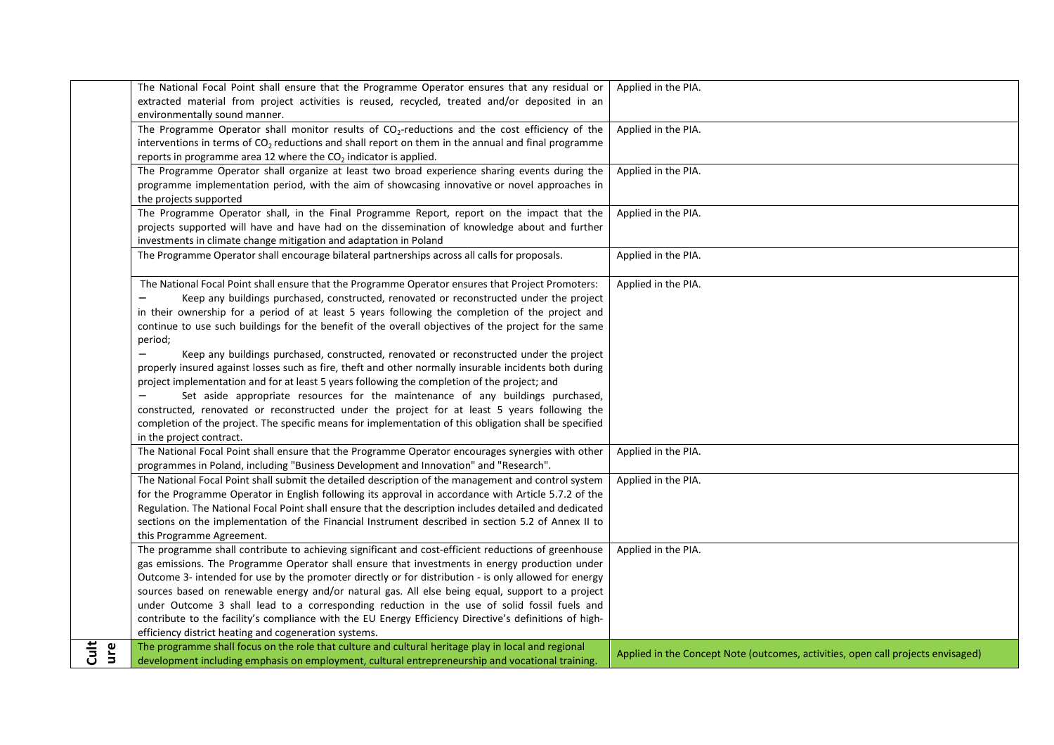|          | The National Focal Point shall ensure that the Programme Operator ensures that any residual or             | Applied in the PIA.                                                              |
|----------|------------------------------------------------------------------------------------------------------------|----------------------------------------------------------------------------------|
|          | extracted material from project activities is reused, recycled, treated and/or deposited in an             |                                                                                  |
|          | environmentally sound manner.                                                                              |                                                                                  |
|          | The Programme Operator shall monitor results of CO <sub>2</sub> -reductions and the cost efficiency of the | Applied in the PIA.                                                              |
|          | interventions in terms of $CO2$ reductions and shall report on them in the annual and final programme      |                                                                                  |
|          | reports in programme area 12 where the $CO2$ indicator is applied.                                         |                                                                                  |
|          | The Programme Operator shall organize at least two broad experience sharing events during the              | Applied in the PIA.                                                              |
|          | programme implementation period, with the aim of showcasing innovative or novel approaches in              |                                                                                  |
|          |                                                                                                            |                                                                                  |
|          | the projects supported                                                                                     |                                                                                  |
|          | The Programme Operator shall, in the Final Programme Report, report on the impact that the                 | Applied in the PIA.                                                              |
|          | projects supported will have and have had on the dissemination of knowledge about and further              |                                                                                  |
|          | investments in climate change mitigation and adaptation in Poland                                          |                                                                                  |
|          | The Programme Operator shall encourage bilateral partnerships across all calls for proposals.              | Applied in the PIA.                                                              |
|          |                                                                                                            |                                                                                  |
|          | The National Focal Point shall ensure that the Programme Operator ensures that Project Promoters:          | Applied in the PIA.                                                              |
|          | Keep any buildings purchased, constructed, renovated or reconstructed under the project                    |                                                                                  |
|          | in their ownership for a period of at least 5 years following the completion of the project and            |                                                                                  |
|          | continue to use such buildings for the benefit of the overall objectives of the project for the same       |                                                                                  |
|          |                                                                                                            |                                                                                  |
|          | period;                                                                                                    |                                                                                  |
|          | Keep any buildings purchased, constructed, renovated or reconstructed under the project                    |                                                                                  |
|          | properly insured against losses such as fire, theft and other normally insurable incidents both during     |                                                                                  |
|          | project implementation and for at least 5 years following the completion of the project; and               |                                                                                  |
|          | Set aside appropriate resources for the maintenance of any buildings purchased,                            |                                                                                  |
|          | constructed, renovated or reconstructed under the project for at least 5 years following the               |                                                                                  |
|          | completion of the project. The specific means for implementation of this obligation shall be specified     |                                                                                  |
|          | in the project contract.                                                                                   |                                                                                  |
|          | The National Focal Point shall ensure that the Programme Operator encourages synergies with other          | Applied in the PIA.                                                              |
|          | programmes in Poland, including "Business Development and Innovation" and "Research".                      |                                                                                  |
|          |                                                                                                            |                                                                                  |
|          | The National Focal Point shall submit the detailed description of the management and control system        | Applied in the PIA.                                                              |
|          | for the Programme Operator in English following its approval in accordance with Article 5.7.2 of the       |                                                                                  |
|          | Regulation. The National Focal Point shall ensure that the description includes detailed and dedicated     |                                                                                  |
|          | sections on the implementation of the Financial Instrument described in section 5.2 of Annex II to         |                                                                                  |
|          | this Programme Agreement.                                                                                  |                                                                                  |
|          | The programme shall contribute to achieving significant and cost-efficient reductions of greenhouse        | Applied in the PIA.                                                              |
|          | gas emissions. The Programme Operator shall ensure that investments in energy production under             |                                                                                  |
|          | Outcome 3- intended for use by the promoter directly or for distribution - is only allowed for energy      |                                                                                  |
|          | sources based on renewable energy and/or natural gas. All else being equal, support to a project           |                                                                                  |
|          | under Outcome 3 shall lead to a corresponding reduction in the use of solid fossil fuels and               |                                                                                  |
|          | contribute to the facility's compliance with the EU Energy Efficiency Directive's definitions of high-     |                                                                                  |
|          |                                                                                                            |                                                                                  |
|          | efficiency district heating and cogeneration systems.                                                      |                                                                                  |
| ㅎ<br>ure | The programme shall focus on the role that culture and cultural heritage play in local and regional        | Applied in the Concept Note (outcomes, activities, open call projects envisaged) |
|          | development including emphasis on employment, cultural entrepreneurship and vocational training.           |                                                                                  |